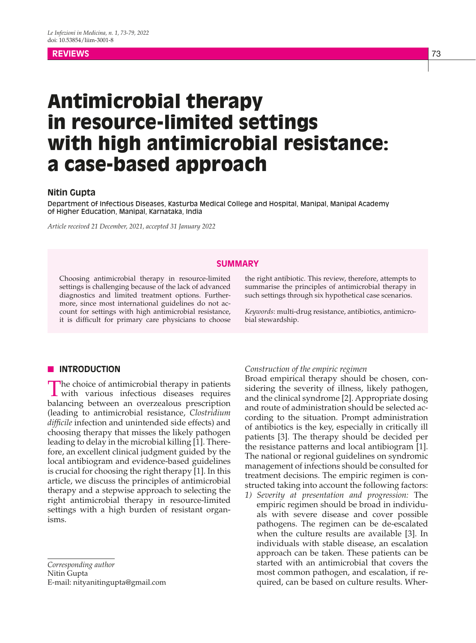# **REVIEWS** 73

# Antimicrobial therapy in resource-limited settings with high antimicrobial resistance: a case-based approach

# **Nitin Gupta**

Department of Infectious Diseases, Kasturba Medical College and Hospital, Manipal, Manipal Academy of Higher Education, Manipal, Karnataka, India

*Article received 21 December, 2021, accepted 31 January 2022*

# **SUMMARY**

Choosing antimicrobial therapy in resource-limited settings is challenging because of the lack of advanced diagnostics and limited treatment options. Furthermore, since most international guidelines do not account for settings with high antimicrobial resistance, it is difficult for primary care physicians to choose

the right antibiotic. This review, therefore, attempts to summarise the principles of antimicrobial therapy in such settings through six hypothetical case scenarios.

*Keywords*: multi-drug resistance, antibiotics, antimicrobial stewardship.

# **N** INTRODUCTION

The choice of antimicrobial therapy in patients with various infectious diseases requires balancing between an overzealous prescription (leading to antimicrobial resistance, *Clostridium difficile* infection and unintended side effects) and choosing therapy that misses the likely pathogen leading to delay in the microbial killing [1]. Therefore, an excellent clinical judgment guided by the local antibiogram and evidence-based guidelines is crucial for choosing the right therapy [1]. In this article, we discuss the principles of antimicrobial therapy and a stepwise approach to selecting the right antimicrobial therapy in resource-limited settings with a high burden of resistant organisms.

*Corresponding author* Nitin Gupta E-mail: nityanitingupta@gmail.com

#### *Construction of the empiric regimen*

Broad empirical therapy should be chosen, considering the severity of illness, likely pathogen, and the clinical syndrome [2]. Appropriate dosing and route of administration should be selected according to the situation. Prompt administration of antibiotics is the key, especially in critically ill patients [3]. The therapy should be decided per the resistance patterns and local antibiogram [1]. The national or regional guidelines on syndromic management of infections should be consulted for treatment decisions. The empiric regimen is constructed taking into account the following factors:

*1) Severity at presentation and progression:* The empiric regimen should be broad in individuals with severe disease and cover possible pathogens. The regimen can be de-escalated when the culture results are available [3]. In individuals with stable disease, an escalation approach can be taken. These patients can be started with an antimicrobial that covers the most common pathogen, and escalation, if required, can be based on culture results. Wher-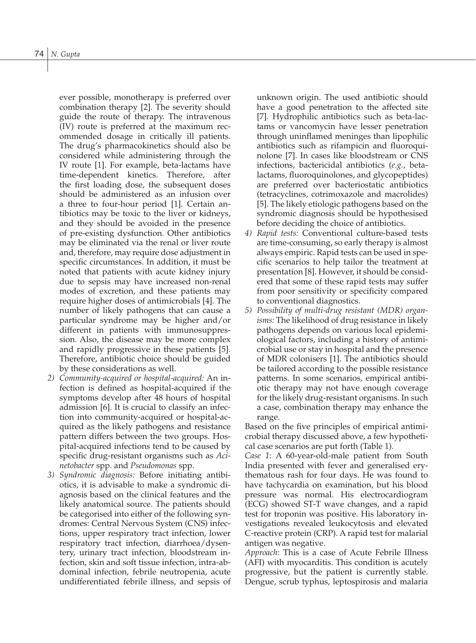ever possible, monotherapy is preferred over combination therapy [2]. The severity should guide the route of therapy. The intravenous (IV) route is preferred at the maximum recommended dosage in critically ill patients. The drug's pharmacokinetics should also be considered while administering through the IV route [1]. For example, beta-lactams have time-dependent kinetics. Therefore, after the first loading dose, the subsequent doses should be administered as an infusion over a three to four-hour period [1]. Certain antibiotics may be toxic to the liver or kidneys, and they should be avoided in the presence of pre-existing dysfunction. Other antibiotics may be eliminated via the renal or liver route and, therefore, may require dose adjustment in specific circumstances. In addition, it must be noted that patients with acute kidney injury due to sepsis may have increased non-renal modes of excretion, and these patients may require higher doses of antimicrobials [4]. The number of likely pathogens that can cause a particular syndrome may be higher and/or different in patients with immunosuppression. Also, the disease may be more complex and rapidly progressive in these patients [5]. Therefore, antibiotic choice should be guided by these considerations as well.

- *2) Community-acquired or hospital-acquired:* An infection is defined as hospital-acquired if the symptoms develop after 48 hours of hospital admission [6]. It is crucial to classify an infection into community-acquired or hospital-acquired as the likely pathogens and resistance pattern differs between the two groups. Hospital-acquired infections tend to be caused by specific drug-resistant organisms such as *Acinetobacter* spp. and *Pseudomonas* spp.
- *3) Syndromic diagnosis:* Before initiating antibiotics, it is advisable to make a syndromic diagnosis based on the clinical features and the likely anatomical source. The patients should be categorised into either of the following syndromes: Central Nervous System (CNS) infections, upper respiratory tract infection, lower respiratory tract infection, diarrhoea/dysentery, urinary tract infection, bloodstream infection, skin and soft tissue infection, intra-abdominal infection, febrile neutropenia, acute undifferentiated febrile illness, and sepsis of

unknown origin. The used antibiotic should have a good penetration to the affected site [7]. Hydrophilic antibiotics such as beta-lactams or vancomycin have lesser penetration through uninflamed meninges than lipophilic antibiotics such as rifampicin and fluoroquinolone [7]. In cases like bloodstream or CNS infections, bactericidal antibiotics (*e.g.*, betalactams, fluoroquinolones, and glycopeptides) are preferred over bacteriostatic antibiotics (tetracyclines, cotrimoxazole and macrolides) [5]. The likely etiologic pathogens based on the syndromic diagnosis should be hypothesised before deciding the choice of antibiotics.

- *4) Rapid tests:* Conventional culture-based tests are time-consuming, so early therapy is almost always empiric. Rapid tests can be used in specific scenarios to help tailor the treatment at presentation [8]. However, it should be considered that some of these rapid tests may suffer from poor sensitivity or specificity compared to conventional diagnostics.
- *5) Possibility of multi-drug resistant (MDR) organisms:* The likelihood of drug resistance in likely pathogens depends on various local epidemiological factors, including a history of antimicrobial use or stay in hospital and the presence of MDR colonisers [1]. The antibiotics should be tailored according to the possible resistance patterns. In some scenarios, empirical antibiotic therapy may not have enough coverage for the likely drug-resistant organisms. In such a case, combination therapy may enhance the range.

Based on the five principles of empirical antimicrobial therapy discussed above, a few hypothetical case scenarios are put forth (Table 1).

*Case 1*: A 60-year-old-male patient from South India presented with fever and generalised erythematous rash for four days. He was found to have tachycardia on examination, but his blood pressure was normal. His electrocardiogram (ECG) showed ST-T wave changes, and a rapid test for troponin was positive. His laboratory investigations revealed leukocytosis and elevated C-reactive protein (CRP). A rapid test for malarial antigen was negative.

*Approach*: This is a case of Acute Febrile Illness (AFI) with myocarditis. This condition is acutely progressive, but the patient is currently stable. Dengue, scrub typhus, leptospirosis and malaria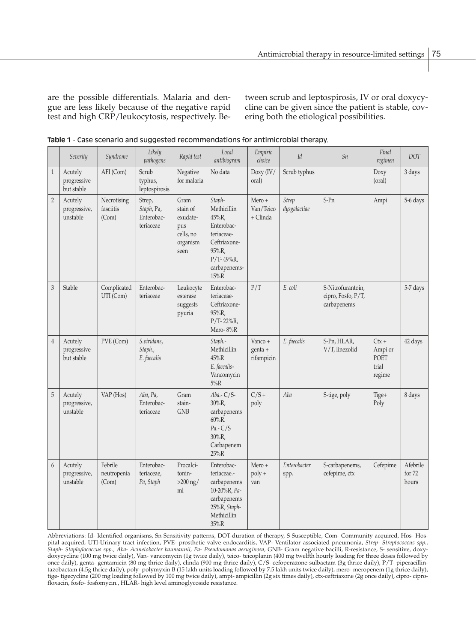are the possible differentials. Malaria and dengue are less likely because of the negative rapid test and high CRP/leukocytosis, respectively. Between scrub and leptospirosis, IV or oral doxycycline can be given since the patient is stable, covering both the etiological possibilities.

|                | Severity                             | Syndrome                          | Likely<br>pathogens                             | Rapid test                                                           | Local<br>antibiogram                                                                                                         | Empiric<br>choice                 | Id                           | Sn                                                     | Final<br>regimen                              | <b>DOT</b>                  |
|----------------|--------------------------------------|-----------------------------------|-------------------------------------------------|----------------------------------------------------------------------|------------------------------------------------------------------------------------------------------------------------------|-----------------------------------|------------------------------|--------------------------------------------------------|-----------------------------------------------|-----------------------------|
| $1\,$          | Acutely<br>progressive<br>but stable | AFI (Com)                         | Scrub<br>typhus,<br>leptospirosis               | Negative<br>for malaria                                              | No data                                                                                                                      | Doxy (IV/<br>oral)                | Scrub typhus                 |                                                        | Doxy<br>(oral)                                | 3 days                      |
| $\overline{2}$ | Acutely<br>progressive,<br>unstable  | Necrotising<br>fasciitis<br>(Com) | Strep,<br>Staph, Pa,<br>Enterobac-<br>teriaceae | Gram<br>stain of<br>exudate-<br>pus<br>cells, no<br>organism<br>seen | Staph-<br>Methicillin<br>45%R,<br>Enterobac-<br>teriaceae-<br>Ceftriaxone-<br>95%R,<br>$P/T - 49%R,$<br>carbapenems-<br>15%R | $Mero +$<br>Van/Teico<br>+ Clinda | <b>Strep</b><br>dysgalactiae | $S-Pn$                                                 | Ampi                                          | 5-6 days                    |
| $\overline{3}$ | Stable                               | Complicated<br>UTI (Com)          | Enterobac-<br>teriaceae                         | Leukocyte<br>esterase<br>suggests<br>pyuria                          | Enterobac-<br>teriaceae-<br>Ceftriaxone-<br>95%R,<br>$P/T - 22\%R$ ,<br>Mero-8%R                                             | P/T                               | E. coli                      | S-Nitrofurantoin,<br>cipro, Fosfo, P/T,<br>carbapenems |                                               | 5-7 days                    |
| $\overline{4}$ | Acutely<br>progressive<br>but stable | PVE (Com)                         | S.viridans,<br>Staph.,<br>E. faecalis           |                                                                      | Staph.-<br>Methicillin<br>45%R<br>E. faecalis-<br>Vancomycin<br>$5\%R$                                                       | Vanco +<br>genta +<br>rifampicin  | E. faecalis                  | S-Pn, HLAR,<br>V/T, linezolid                          | $Ctx +$<br>Ampi or<br>POET<br>trial<br>regime | 42 days                     |
| 5              | Acutely<br>progressive,<br>unstable  | VAP (Hos)                         | Aba, Pa,<br>Enterobac-<br>teriaceae             | Gram<br>stain-<br><b>GNB</b>                                         | Aba.- C/S-<br>$30\%R,$<br>carbapenems<br>$60\%$ <sub>R</sub> .<br>$Pa.-C/S$<br>$30\%R,$<br>Carbapenem<br>$25\%R$             | $C/S +$<br>poly                   | Aba                          | S-tige, poly                                           | Tige+<br>Poly                                 | 8 days                      |
| 6              | Acutely<br>progressive,<br>unstable  | Febrile<br>neutropenia<br>(Com)   | Enterobac-<br>teriaceae,<br>Pa, Staph           | Procalci-<br>tonin-<br>$>200$ ng/<br>ml                              | Enterobac-<br>teriaceae.-<br>carbapenems<br>10-20%R, Pa-<br>carbapenems<br>25%R, Staph-<br>Methicillin<br>35%R               | Mero +<br>poly +<br>van           | Enterobacter<br>spp.         | S-carbapenems,<br>cefepime, ctx                        | Cefepime                                      | Afebrile<br>for 72<br>hours |

**Table 1** - Case scenario and suggested recommendations for antimicrobial therapy.

Abbreviations: Id- Identified organisms, Sn-Sensitivity patterns, DOT-duration of therapy, S-Susceptible, Com- Community acquired, Hos- Hospital acquired, UTI-Urinary tract infection, PVE- prosthetic valve endocarditis, VAP- Ventilator associated pneumonia, *Strep- Streptococcus spp., Staph- Staphylococcus spp., Aba- Acinetobacter baumannii, Pa- Pseudomonas aeruginosa,* GNB- Gram negative bacilli, R-resistance, S- sensitive, doxydoxycycline (100 mg twice daily), Van- vancomycin (1g twice daily), teico- teicoplanin (400 mg twelfth hourly loading for three doses followed by once daily), genta- gentamicin (80 mg thrice daily), clinda (900 mg thrice daily), C/S- cefoperazone-sulbactam (3g thrice daily), P/T- piperacillintazobactam (4.5g thrice daily), poly- polymyxin B (15 lakh units loading followed by 7.5 lakh units twice daily), mero- meropenem (1g thrice daily), tige- tigecycline (200 mg loading followed by 100 mg twice daily), ampi- ampicillin (2g six times daily), ctx-ceftriaxone (2g once daily), cipro- ciprofloxacin, fosfo- fosfomycin., HLAR- high level aminoglycoside resistance.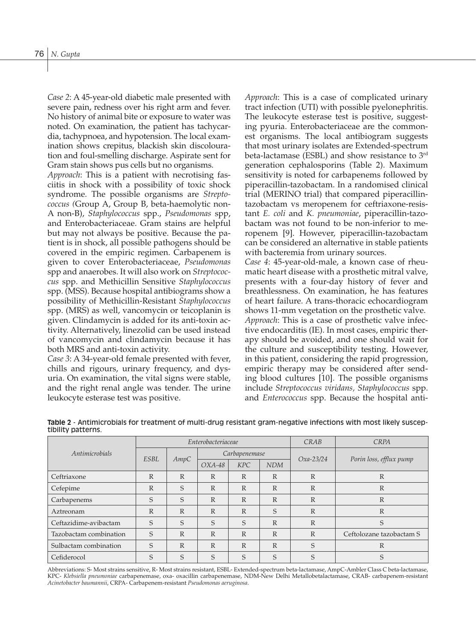*Case 2*: A 45-year-old diabetic male presented with severe pain, redness over his right arm and fever. No history of animal bite or exposure to water was noted. On examination, the patient has tachycardia, tachypnoea, and hypotension. The local examination shows crepitus, blackish skin discolouration and foul-smelling discharge. Aspirate sent for Gram stain shows pus cells but no organisms.

*Approach*: This is a patient with necrotising fasciitis in shock with a possibility of toxic shock syndrome. The possible organisms are *Streptococcus (*Group A, Group B, beta-haemolytic non-A non-B), *Staphylococcus* spp., *Pseudomonas* spp, and Enterobacteriaceae. Gram stains are helpful but may not always be positive. Because the patient is in shock, all possible pathogens should be covered in the empiric regimen. Carbapenem is given to cover Enterobacteriaceae, *Pseudomonas*  spp and anaerobes. It will also work on *Streptococcus* spp. and Methicillin Sensitive *Staphylococcus* spp. (MSS). Because hospital antibiograms show a possibility of Methicillin-Resistant *Staphylococcus* spp. (MRS) as well, vancomycin or teicoplanin is given. Clindamycin is added for its anti-toxin activity. Alternatively, linezolid can be used instead of vancomycin and clindamycin because it has both MRS and anti-toxin activity.

*Case 3*: A 34-year-old female presented with fever, chills and rigours, urinary frequency, and dysuria. On examination, the vital signs were stable, and the right renal angle was tender. The urine leukocyte esterase test was positive.

*Approach*: This is a case of complicated urinary tract infection (UTI) with possible pyelonephritis. The leukocyte esterase test is positive, suggesting pyuria. Enterobacteriaceae are the commonest organisms. The local antibiogram suggests that most urinary isolates are Extended-spectrum beta-lactamase (ESBL) and show resistance to 3rd generation cephalosporins (Table 2). Maximum sensitivity is noted for carbapenems followed by piperacillin-tazobactam. In a randomised clinical trial (MERINO trial) that compared piperacillintazobactam vs meropenem for ceftriaxone-resistant *E. coli* and *K. pneumoniae*, piperacillin-tazobactam was not found to be non-inferior to meropenem [9]. However, piperacillin-tazobactam can be considered an alternative in stable patients with bacteremia from urinary sources.

*Case 4*: 45-year-old-male, a known case of rheumatic heart disease with a prosthetic mitral valve, presents with a four-day history of fever and breathlessness. On examination, he has features of heart failure. A trans-thoracic echocardiogram shows 11-mm vegetation on the prosthetic valve. *Approach*: This is a case of prosthetic valve infective endocarditis (IE). In most cases, empiric therapy should be avoided, and one should wait for the culture and susceptibility testing. However, in this patient, considering the rapid progression, empiric therapy may be considered after sending blood cultures [10]. The possible organisms include *Streptococcus viridans, Staphylococcus* spp. and *Enterococcus* spp. Because the hospital anti-

|                        |              |              | Enterobacteriaceae |               | <b>CRPA</b><br>CRAB |              |                          |  |
|------------------------|--------------|--------------|--------------------|---------------|---------------------|--------------|--------------------------|--|
| Antimicrobials         | <b>ESBL</b>  | AmpC         |                    | Carbapenemase |                     | $Oxa-23/24$  | Porin loss, efflux pump  |  |
|                        |              |              | $OXA-48$           | <b>KPC</b>    | <b>NDM</b>          |              |                          |  |
| Ceftriaxone            | $\mathbb{R}$ | $\mathbb{R}$ | $\mathbb{R}$       | R             | $\mathbb{R}$        | $\mathbb{R}$ | $\mathbb{R}$             |  |
| Cefepime               | $\mathbb{R}$ | S            | $\mathbb{R}$       | R             | $\mathbb{R}$        | $\mathbb{R}$ | $\mathbb{R}$             |  |
| Carbapenems            | S            | S            | $\mathbb{R}$       | R             | $\mathbb{R}$        | $\mathbb{R}$ | $\mathbb{R}$             |  |
| Aztreonam              | $\mathbb{R}$ | $\mathbb{R}$ | $\mathbb{R}$       | $\mathbb{R}$  | S                   | $\mathbb{R}$ | $\mathbb{R}$             |  |
| Ceftazidime-avibactam  | S            | S            | S                  | S             | $\mathbb{R}$        | $\mathbb{R}$ | S                        |  |
| Tazobactam combination | S            | $\mathbb{R}$ | $\mathbb{R}$       | R             | $\mathbb{R}$        | $\mathbb{R}$ | Ceftolozane tazobactam S |  |
| Sulbactam combination  | S            | $\mathbb{R}$ | $\mathbb{R}$       | R             | $\mathbb{R}$        | S            | $\mathbb{R}$             |  |
| Cefiderocol            | S            | S            | S                  | S             | S                   | S            | $\mathcal{S}$            |  |

**Table 2** - Antimicrobials for treatment of multi-drug resistant gram-negative infections with most likely susceptibility patterns.

Abbreviations: S- Most strains sensitive, R- Most strains resistant, ESBL- Extended-spectrum beta-lactamase, AmpC-Ambler Class C beta-lactamase, KPC- *Klebsiella pneumoniae* carbapenemase, oxa- oxacillin carbapenemase, NDM-New Delhi Metallobetalactamase, CRAB- carbapenem-resistant *Acinetobacter baumannii*, CRPA- Carbapenem-resistant *Pseudomonas aeruginosa*.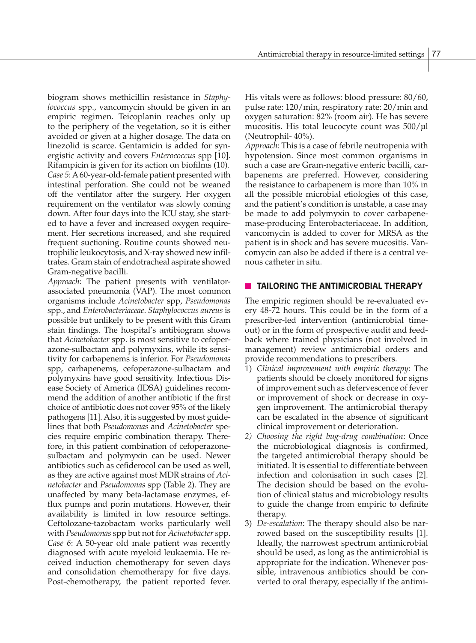biogram shows methicillin resistance in *Staphylococcus* spp., vancomycin should be given in an empiric regimen. Teicoplanin reaches only up to the periphery of the vegetation, so it is either avoided or given at a higher dosage. The data on linezolid is scarce. Gentamicin is added for synergistic activity and covers *Enterococcus* spp [10]. Rifampicin is given for its action on biofilms (10). *Case 5*: A 60-year-old-female patient presented with intestinal perforation. She could not be weaned off the ventilator after the surgery. Her oxygen requirement on the ventilator was slowly coming down. After four days into the ICU stay, she started to have a fever and increased oxygen requirement. Her secretions increased, and she required frequent suctioning. Routine counts showed neutrophilic leukocytosis, and X-ray showed new infiltrates. Gram stain of endotracheal aspirate showed Gram-negative bacilli.

*Approach*: The patient presents with ventilatorassociated pneumonia (VAP). The most common organisms include *Acinetobacter* spp, *Pseudomonas*  spp., and *Enterobacteriaceae*. *Staphylococcus aureus* is possible but unlikely to be present with this Gram stain findings. The hospital's antibiogram shows that *Acinetobacter* spp. is most sensitive to cefoperazone-sulbactam and polymyxins, while its sensitivity for carbapenems is inferior. For *Pseudomonas* spp, carbapenems, cefoperazone-sulbactam and polymyxins have good sensitivity. Infectious Disease Society of America (IDSA) guidelines recommend the addition of another antibiotic if the first choice of antibiotic does not cover 95% of the likely pathogens [11]. Also, it is suggested by most guidelines that both *Pseudomonas* and *Acinetobacter* species require empiric combination therapy. Therefore, in this patient combination of cefoperazonesulbactam and polymyxin can be used. Newer antibiotics such as cefiderocol can be used as well, as they are active against most MDR strains of *Acinetobacter* and *Pseudomonas* spp (Table 2). They are unaffected by many beta-lactamase enzymes, efflux pumps and porin mutations. However, their availability is limited in low resource settings. Ceftolozane-tazobactam works particularly well with *Pseudomonas* spp but not for *Acinetobacter* spp. *Case 6*: A 50-year old male patient was recently diagnosed with acute myeloid leukaemia. He received induction chemotherapy for seven days and consolidation chemotherapy for five days. Post-chemotherapy, the patient reported fever.

His vitals were as follows: blood pressure: 80/60, pulse rate: 120/min, respiratory rate: 20/min and oxygen saturation: 82% (room air). He has severe mucositis. His total leucocyte count was 500/µl (Neutrophil- 40%).

*Approach*: This is a case of febrile neutropenia with hypotension. Since most common organisms in such a case are Gram-negative enteric bacilli, carbapenems are preferred. However, considering the resistance to carbapenem is more than 10% in all the possible microbial etiologies of this case, and the patient's condition is unstable, a case may be made to add polymyxin to cover carbapenemase-producing Enterobacteriaceae. In addition, vancomycin is added to cover for MRSA as the patient is in shock and has severe mucositis. Vancomycin can also be added if there is a central venous catheter in situ.

### **n** TAILORING THE ANTIMICROBIAL THERAPY

The empiric regimen should be re-evaluated every 48-72 hours. This could be in the form of a prescriber-led intervention (antimicrobial timeout) or in the form of prospective audit and feedback where trained physicians (not involved in management) review antimicrobial orders and provide recommendations to prescribers.

- 1) *Clinical improvement with empiric therapy*: The patients should be closely monitored for signs of improvement such as defervescence of fever or improvement of shock or decrease in oxygen improvement. The antimicrobial therapy can be escalated in the absence of significant clinical improvement or deterioration.
- *2) Choosing the right bug-drug combination*: Once the microbiological diagnosis is confirmed, the targeted antimicrobial therapy should be initiated. It is essential to differentiate between infection and colonisation in such cases [2]. The decision should be based on the evolution of clinical status and microbiology results to guide the change from empiric to definite therapy.
- 3) *De-escalation*: The therapy should also be narrowed based on the susceptibility results [1]. Ideally, the narrowest spectrum antimicrobial should be used, as long as the antimicrobial is appropriate for the indication. Whenever possible, intravenous antibiotics should be converted to oral therapy, especially if the antimi-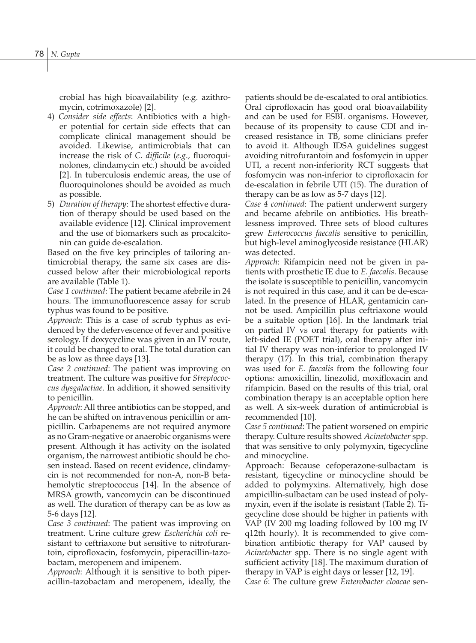crobial has high bioavailability (e.g. azithromycin, cotrimoxazole) [2].

- 4) *Consider side effects*: Antibiotics with a higher potential for certain side effects that can complicate clinical management should be avoided. Likewise, antimicrobials that can increase the risk of *C. difficile* (*e.g.,* fluoroquinolones, clindamycin etc.) should be avoided [2]. In tuberculosis endemic areas, the use of fluoroquinolones should be avoided as much as possible.
- 5) *Duration of therapy*: The shortest effective duration of therapy should be used based on the available evidence [12]. Clinical improvement and the use of biomarkers such as procalcitonin can guide de-escalation.

Based on the five key principles of tailoring antimicrobial therapy, the same six cases are discussed below after their microbiological reports are available (Table 1).

*Case 1 continued*: The patient became afebrile in 24 hours. The immunofluorescence assay for scrub typhus was found to be positive.

*Approach*: This is a case of scrub typhus as evidenced by the defervescence of fever and positive serology. If doxycycline was given in an IV route, it could be changed to oral. The total duration can be as low as three days [13].

*Case 2 continued*: The patient was improving on treatment. The culture was positive for *Streptococcus dysgalactiae*. In addition, it showed sensitivity to penicillin.

*Approach*: All three antibiotics can be stopped, and he can be shifted on intravenous penicillin or ampicillin. Carbapenems are not required anymore as no Gram-negative or anaerobic organisms were present. Although it has activity on the isolated organism, the narrowest antibiotic should be chosen instead. Based on recent evidence, clindamycin is not recommended for non-A, non-B betahemolytic streptococcus [14]. In the absence of MRSA growth, vancomycin can be discontinued as well. The duration of therapy can be as low as 5-6 days [12].

*Case 3 continued*: The patient was improving on treatment. Urine culture grew *Escherichia coli* resistant to ceftriaxone but sensitive to nitrofurantoin, ciprofloxacin, fosfomycin, piperacillin-tazobactam, meropenem and imipenem.

*Approach*: Although it is sensitive to both piperacillin-tazobactam and meropenem, ideally, the patients should be de-escalated to oral antibiotics. Oral ciprofloxacin has good oral bioavailability and can be used for ESBL organisms. However, because of its propensity to cause CDI and increased resistance in TB, some clinicians prefer to avoid it. Although IDSA guidelines suggest avoiding nitrofurantoin and fosfomycin in upper UTI, a recent non-inferiority RCT suggests that fosfomycin was non-inferior to ciprofloxacin for de-escalation in febrile UTI (15). The duration of therapy can be as low as 5-7 days [12].

*Case 4 continued*: The patient underwent surgery and became afebrile on antibiotics. His breathlessness improved. Three sets of blood cultures grew *Enterococcus faecalis* sensitive to penicillin, but high-level aminoglycoside resistance (HLAR) was detected.

*Approach*: Rifampicin need not be given in patients with prosthetic IE due to *E. faecalis*. Because the isolate is susceptible to penicillin, vancomycin is not required in this case, and it can be de-escalated. In the presence of HLAR, gentamicin cannot be used. Ampicillin plus ceftriaxone would be a suitable option [16]. In the landmark trial on partial IV vs oral therapy for patients with left-sided IE (POET trial), oral therapy after initial IV therapy was non-inferior to prolonged IV therapy (17). In this trial, combination therapy was used for *E. faecalis* from the following four options: amoxicillin, linezolid, moxifloxacin and rifampicin. Based on the results of this trial, oral combination therapy is an acceptable option here as well. A six-week duration of antimicrobial is recommended [10].

*Case 5 continued*: The patient worsened on empiric therapy. Culture results showed *Acinetobacter* spp. that was sensitive to only polymyxin, tigecycline and minocycline.

Approach: Because cefoperazone-sulbactam is resistant, tigecycline or minocycline should be added to polymyxins. Alternatively, high dose ampicillin-sulbactam can be used instead of polymyxin, even if the isolate is resistant (Table 2). Tigecycline dose should be higher in patients with VAP (IV 200 mg loading followed by 100 mg IV q12th hourly). It is recommended to give combination antibiotic therapy for VAP caused by *Acinetobacter* spp. There is no single agent with sufficient activity [18]. The maximum duration of therapy in VAP is eight days or lesser [12, 19].

*Case 6*: The culture grew *Enterobacter cloacae* sen-